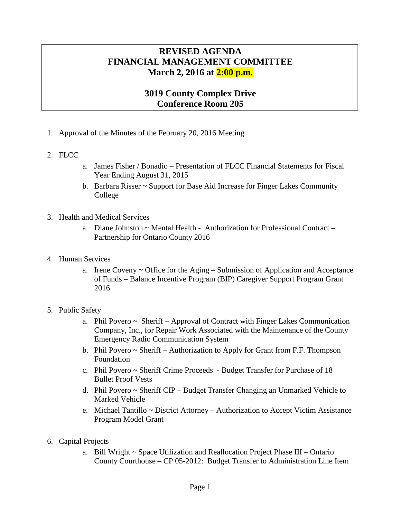## **REVISED AGENDA FINANCIAL MANAGEMENT COMMITTEE March 2, 2016 at 2:00 p.m.**

## **3019 County Complex Drive Conference Room 205**

- 1. Approval of the Minutes of the February 20, 2016 Meeting
- 2. FLCC
- a. James Fisher / Bonadio Presentation of FLCC Financial Statements for Fiscal Year Ending August 31, 2015
- b. Barbara Risser ~ Support for Base Aid Increase for Finger Lakes Community College
- 3. Health and Medical Services
	- a. Diane Johnston  $\sim$  Mental Health Authorization for Professional Contract Partnership for Ontario County 2016
- 4. Human Services
	- a. Irene Coveny ~ Office for the Aging Submission of Application and Acceptance of Funds – Balance Incentive Program (BIP) Caregiver Support Program Grant 2016
- 5. Public Safety
	- a. Phil Povero ~ Sheriff Approval of Contract with Finger Lakes Communication Company, Inc., for Repair Work Associated with the Maintenance of the County Emergency Radio Communication System
	- b. Phil Povero ~ Sheriff Authorization to Apply for Grant from F.F. Thompson Foundation
	- c. Phil Povero ~ Sheriff Crime Proceeds Budget Transfer for Purchase of 18 Bullet Proof Vests
	- d. Phil Povero ~ Sheriff CIP Budget Transfer Changing an Unmarked Vehicle to Marked Vehicle
	- e. Michael Tantillo ~ District Attorney Authorization to Accept Victim Assistance Program Model Grant
- 6. Capital Projects
	- a. Bill Wright ~ Space Utilization and Reallocation Project Phase III Ontario County Courthouse – CP 05-2012: Budget Transfer to Administration Line Item